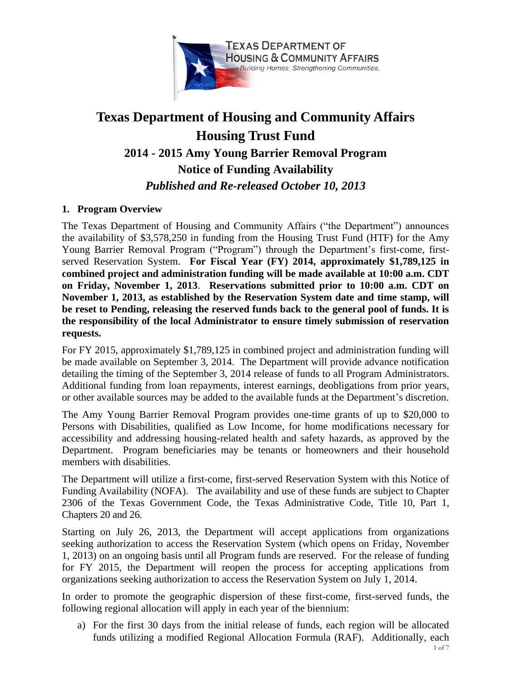

# **Texas Department of Housing and Community Affairs Housing Trust Fund 2014 - 2015 Amy Young Barrier Removal Program Notice of Funding Availability** *Published and Re-released October 10, 2013*

## **1. Program Overview**

The Texas Department of Housing and Community Affairs ("the Department") announces the availability of \$3,578,250 in funding from the Housing Trust Fund (HTF) for the Amy Young Barrier Removal Program ("Program") through the Department's first-come, firstserved Reservation System. **For Fiscal Year (FY) 2014, approximately \$1,789,125 in combined project and administration funding will be made available at 10:00 a.m. CDT on Friday, November 1, 2013**. **Reservations submitted prior to 10:00 a.m. CDT on November 1, 2013, as established by the Reservation System date and time stamp, will be reset to Pending, releasing the reserved funds back to the general pool of funds. It is the responsibility of the local Administrator to ensure timely submission of reservation requests.**

For FY 2015, approximately \$1,789,125 in combined project and administration funding will be made available on September 3, 2014. The Department will provide advance notification detailing the timing of the September 3, 2014 release of funds to all Program Administrators. Additional funding from loan repayments, interest earnings, deobligations from prior years, or other available sources may be added to the available funds at the Department's discretion.

The Amy Young Barrier Removal Program provides one-time grants of up to \$20,000 to Persons with Disabilities, qualified as Low Income, for home modifications necessary for accessibility and addressing housing-related health and safety hazards, as approved by the Department. Program beneficiaries may be tenants or homeowners and their household members with disabilities.

The Department will utilize a first-come, first-served Reservation System with this Notice of Funding Availability (NOFA). The availability and use of these funds are subject to Chapter 2306 of the Texas Government Code, the Texas Administrative Code, Title 10, Part 1, Chapters 20 and 26.

Starting on July 26, 2013, the Department will accept applications from organizations seeking authorization to access the Reservation System (which opens on Friday, November 1, 2013) on an ongoing basis until all Program funds are reserved. For the release of funding for FY 2015, the Department will reopen the process for accepting applications from organizations seeking authorization to access the Reservation System on July 1, 2014.

In order to promote the geographic dispersion of these first-come, first-served funds, the following regional allocation will apply in each year of the biennium:

a) For the first 30 days from the initial release of funds, each region will be allocated funds utilizing a modified Regional Allocation Formula (RAF). Additionally, each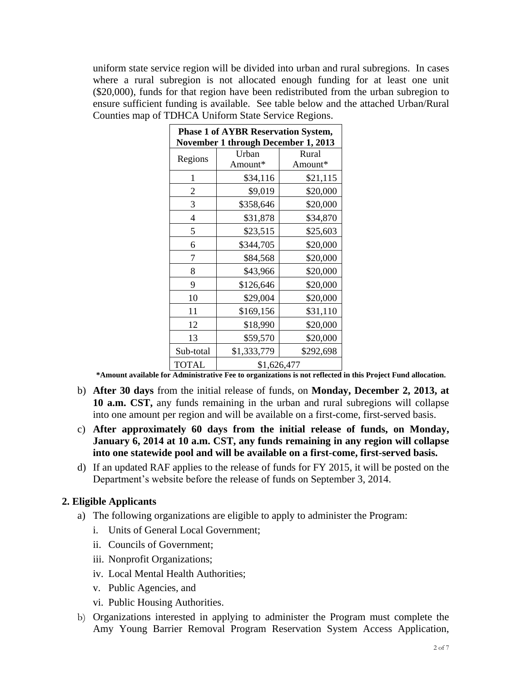uniform state service region will be divided into urban and rural subregions. In cases where a rural subregion is not allocated enough funding for at least one unit (\$20,000), funds for that region have been redistributed from the urban subregion to ensure sufficient funding is available. See table below and the attached Urban/Rural Counties map of TDHCA Uniform State Service Regions.

| <b>Phase 1 of AYBR Reservation System,</b><br><b>November 1 through December 1, 2013</b> |                  |                  |
|------------------------------------------------------------------------------------------|------------------|------------------|
| Regions                                                                                  | Urban<br>Amount* | Rural<br>Amount* |
| 1                                                                                        | \$34,116         | \$21,115         |
| 2                                                                                        | \$9,019          | \$20,000         |
| 3                                                                                        | \$358,646        | \$20,000         |
| 4                                                                                        | \$31,878         | \$34,870         |
| 5                                                                                        | \$23,515         | \$25,603         |
| 6                                                                                        | \$344,705        | \$20,000         |
| 7                                                                                        | \$84,568         | \$20,000         |
| 8                                                                                        | \$43,966         | \$20,000         |
| 9                                                                                        | \$126,646        | \$20,000         |
| 10                                                                                       | \$29,004         | \$20,000         |
| 11                                                                                       | \$169,156        | \$31,110         |
| 12                                                                                       | \$18,990         | \$20,000         |
| 13                                                                                       | \$59,570         | \$20,000         |
| Sub-total                                                                                | \$1,333,779      | \$292,698        |
| <b>TOTAL</b>                                                                             | \$1,626,477      |                  |

**\*Amount available for Administrative Fee to organizations is not reflected in this Project Fund allocation.**

- b) **After 30 days** from the initial release of funds, on **Monday, December 2, 2013, at 10 a.m. CST,** any funds remaining in the urban and rural subregions will collapse into one amount per region and will be available on a first-come, first-served basis.
- c) **After approximately 60 days from the initial release of funds, on Monday, January 6, 2014 at 10 a.m. CST, any funds remaining in any region will collapse into one statewide pool and will be available on a first-come, first-served basis.**
- d) If an updated RAF applies to the release of funds for FY 2015, it will be posted on the Department's website before the release of funds on September 3, 2014.

#### **2. Eligible Applicants**

- a) The following organizations are eligible to apply to administer the Program:
	- i. Units of General Local Government;
	- ii. Councils of Government;
	- iii. Nonprofit Organizations;
	- iv. Local Mental Health Authorities;
	- v. Public Agencies, and
	- vi. Public Housing Authorities.
- b) Organizations interested in applying to administer the Program must complete the Amy Young Barrier Removal Program Reservation System Access Application,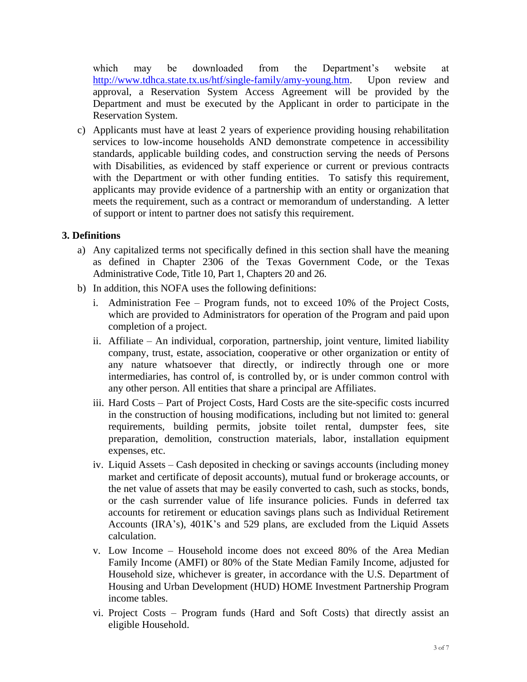which may be downloaded from the Department's website at [http://www.tdhca.state.tx.us/htf/single-family/amy-young.htm.](http://www.tdhca.state.tx.us/htf/single-family/amy-young.htm) Upon review and approval, a Reservation System Access Agreement will be provided by the Department and must be executed by the Applicant in order to participate in the Reservation System.

c) Applicants must have at least 2 years of experience providing housing rehabilitation services to low-income households AND demonstrate competence in accessibility standards, applicable building codes, and construction serving the needs of Persons with Disabilities, as evidenced by staff experience or current or previous contracts with the Department or with other funding entities. To satisfy this requirement, applicants may provide evidence of a partnership with an entity or organization that meets the requirement, such as a contract or memorandum of understanding. A letter of support or intent to partner does not satisfy this requirement.

## **3. Definitions**

- a) Any capitalized terms not specifically defined in this section shall have the meaning as defined in Chapter 2306 of the Texas Government Code, or the Texas Administrative Code, Title 10, Part 1, Chapters 20 and 26.
- b) In addition, this NOFA uses the following definitions:
	- i. Administration Fee Program funds, not to exceed 10% of the Project Costs, which are provided to Administrators for operation of the Program and paid upon completion of a project.
	- ii. Affiliate An individual, corporation, partnership, joint venture, limited liability company, trust, estate, association, cooperative or other organization or entity of any nature whatsoever that directly, or indirectly through one or more intermediaries, has control of, is controlled by, or is under common control with any other person. All entities that share a principal are Affiliates.
	- iii. Hard Costs Part of Project Costs, Hard Costs are the site-specific costs incurred in the construction of housing modifications, including but not limited to: general requirements, building permits, jobsite toilet rental, dumpster fees, site preparation, demolition, construction materials, labor, installation equipment expenses, etc.
	- iv. Liquid Assets Cash deposited in checking or savings accounts (including money market and certificate of deposit accounts), mutual fund or brokerage accounts, or the net value of assets that may be easily converted to cash, such as stocks, bonds, or the cash surrender value of life insurance policies. Funds in deferred tax accounts for retirement or education savings plans such as Individual Retirement Accounts (IRA's), 401K's and 529 plans, are excluded from the Liquid Assets calculation.
	- v. Low Income Household income does not exceed 80% of the Area Median Family Income (AMFI) or 80% of the State Median Family Income, adjusted for Household size, whichever is greater, in accordance with the U.S. Department of Housing and Urban Development (HUD) HOME Investment Partnership Program income tables.
	- vi. Project Costs Program funds (Hard and Soft Costs) that directly assist an eligible Household.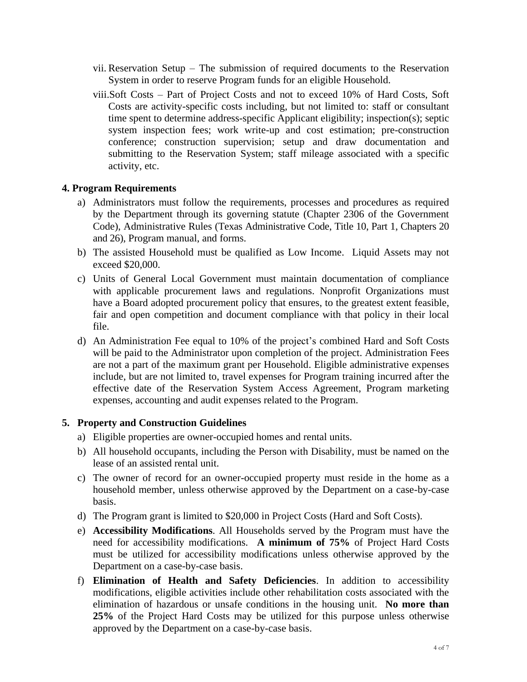- vii. Reservation Setup The submission of required documents to the Reservation System in order to reserve Program funds for an eligible Household.
- viii.Soft Costs Part of Project Costs and not to exceed 10% of Hard Costs, Soft Costs are activity-specific costs including, but not limited to: staff or consultant time spent to determine address-specific Applicant eligibility; inspection(s); septic system inspection fees; work write-up and cost estimation; pre-construction conference; construction supervision; setup and draw documentation and submitting to the Reservation System; staff mileage associated with a specific activity, etc.

#### **4. Program Requirements**

- a) Administrators must follow the requirements, processes and procedures as required by the Department through its governing statute (Chapter 2306 of the Government Code), Administrative Rules (Texas Administrative Code, Title 10, Part 1, Chapters 20 and 26), Program manual, and forms.
- b) The assisted Household must be qualified as Low Income. Liquid Assets may not exceed \$20,000.
- c) Units of General Local Government must maintain documentation of compliance with applicable procurement laws and regulations. Nonprofit Organizations must have a Board adopted procurement policy that ensures, to the greatest extent feasible, fair and open competition and document compliance with that policy in their local file.
- d) An Administration Fee equal to 10% of the project's combined Hard and Soft Costs will be paid to the Administrator upon completion of the project. Administration Fees are not a part of the maximum grant per Household. Eligible administrative expenses include, but are not limited to, travel expenses for Program training incurred after the effective date of the Reservation System Access Agreement, Program marketing expenses, accounting and audit expenses related to the Program.

#### **5. Property and Construction Guidelines**

- a) Eligible properties are owner-occupied homes and rental units.
- b) All household occupants, including the Person with Disability, must be named on the lease of an assisted rental unit.
- c) The owner of record for an owner-occupied property must reside in the home as a household member, unless otherwise approved by the Department on a case-by-case basis.
- d) The Program grant is limited to \$20,000 in Project Costs (Hard and Soft Costs).
- e) **Accessibility Modifications**. All Households served by the Program must have the need for accessibility modifications. **A minimum of 75%** of Project Hard Costs must be utilized for accessibility modifications unless otherwise approved by the Department on a case-by-case basis.
- f) **Elimination of Health and Safety Deficiencies**. In addition to accessibility modifications, eligible activities include other rehabilitation costs associated with the elimination of hazardous or unsafe conditions in the housing unit. **No more than 25%** of the Project Hard Costs may be utilized for this purpose unless otherwise approved by the Department on a case-by-case basis.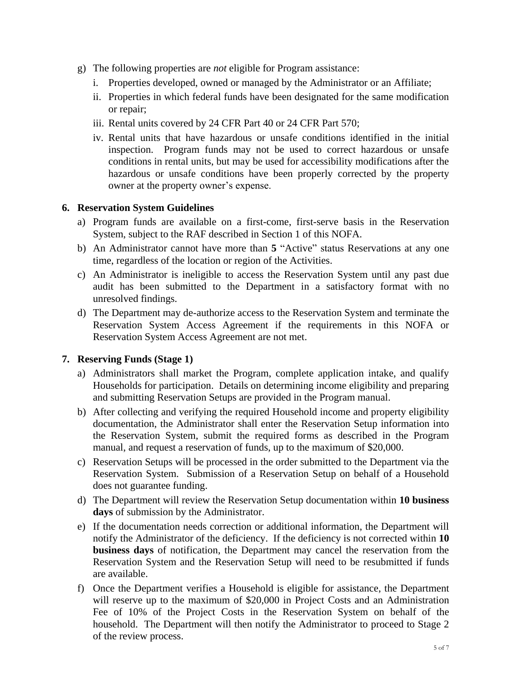- g) The following properties are *not* eligible for Program assistance:
	- i. Properties developed, owned or managed by the Administrator or an Affiliate;
	- ii. Properties in which federal funds have been designated for the same modification or repair;
	- iii. Rental units covered by 24 CFR Part 40 or 24 CFR Part 570;
	- iv. Rental units that have hazardous or unsafe conditions identified in the initial inspection. Program funds may not be used to correct hazardous or unsafe conditions in rental units, but may be used for accessibility modifications after the hazardous or unsafe conditions have been properly corrected by the property owner at the property owner's expense.

## **6. Reservation System Guidelines**

- a) Program funds are available on a first-come, first-serve basis in the Reservation System, subject to the RAF described in Section 1 of this NOFA.
- b) An Administrator cannot have more than **5** "Active" status Reservations at any one time, regardless of the location or region of the Activities.
- c) An Administrator is ineligible to access the Reservation System until any past due audit has been submitted to the Department in a satisfactory format with no unresolved findings.
- d) The Department may de-authorize access to the Reservation System and terminate the Reservation System Access Agreement if the requirements in this NOFA or Reservation System Access Agreement are not met.

## **7. Reserving Funds (Stage 1)**

- a) Administrators shall market the Program, complete application intake, and qualify Households for participation. Details on determining income eligibility and preparing and submitting Reservation Setups are provided in the Program manual.
- b) After collecting and verifying the required Household income and property eligibility documentation, the Administrator shall enter the Reservation Setup information into the Reservation System, submit the required forms as described in the Program manual, and request a reservation of funds, up to the maximum of \$20,000.
- c) Reservation Setups will be processed in the order submitted to the Department via the Reservation System. Submission of a Reservation Setup on behalf of a Household does not guarantee funding.
- d) The Department will review the Reservation Setup documentation within **10 business days** of submission by the Administrator.
- e) If the documentation needs correction or additional information, the Department will notify the Administrator of the deficiency. If the deficiency is not corrected within **10 business days** of notification, the Department may cancel the reservation from the Reservation System and the Reservation Setup will need to be resubmitted if funds are available.
- f) Once the Department verifies a Household is eligible for assistance, the Department will reserve up to the maximum of \$20,000 in Project Costs and an Administration Fee of 10% of the Project Costs in the Reservation System on behalf of the household. The Department will then notify the Administrator to proceed to Stage 2 of the review process.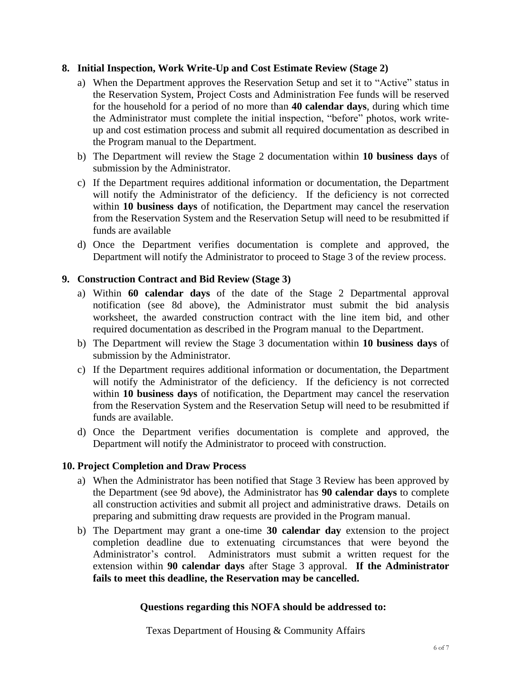## **8. Initial Inspection, Work Write-Up and Cost Estimate Review (Stage 2)**

- a) When the Department approves the Reservation Setup and set it to "Active" status in the Reservation System, Project Costs and Administration Fee funds will be reserved for the household for a period of no more than **40 calendar days**, during which time the Administrator must complete the initial inspection, "before" photos, work writeup and cost estimation process and submit all required documentation as described in the Program manual to the Department.
- b) The Department will review the Stage 2 documentation within **10 business days** of submission by the Administrator.
- c) If the Department requires additional information or documentation, the Department will notify the Administrator of the deficiency. If the deficiency is not corrected within **10 business days** of notification, the Department may cancel the reservation from the Reservation System and the Reservation Setup will need to be resubmitted if funds are available
- d) Once the Department verifies documentation is complete and approved, the Department will notify the Administrator to proceed to Stage 3 of the review process.

## **9. Construction Contract and Bid Review (Stage 3)**

- a) Within **60 calendar days** of the date of the Stage 2 Departmental approval notification (see 8d above), the Administrator must submit the bid analysis worksheet, the awarded construction contract with the line item bid, and other required documentation as described in the Program manual to the Department.
- b) The Department will review the Stage 3 documentation within **10 business days** of submission by the Administrator.
- c) If the Department requires additional information or documentation, the Department will notify the Administrator of the deficiency. If the deficiency is not corrected within **10 business days** of notification, the Department may cancel the reservation from the Reservation System and the Reservation Setup will need to be resubmitted if funds are available.
- d) Once the Department verifies documentation is complete and approved, the Department will notify the Administrator to proceed with construction.

#### **10. Project Completion and Draw Process**

- a) When the Administrator has been notified that Stage 3 Review has been approved by the Department (see 9d above), the Administrator has **90 calendar days** to complete all construction activities and submit all project and administrative draws. Details on preparing and submitting draw requests are provided in the Program manual.
- b) The Department may grant a one-time **30 calendar day** extension to the project completion deadline due to extenuating circumstances that were beyond the Administrator's control. Administrators must submit a written request for the extension within **90 calendar days** after Stage 3 approval. **If the Administrator fails to meet this deadline, the Reservation may be cancelled.**

#### **Questions regarding this NOFA should be addressed to:**

Texas Department of Housing & Community Affairs